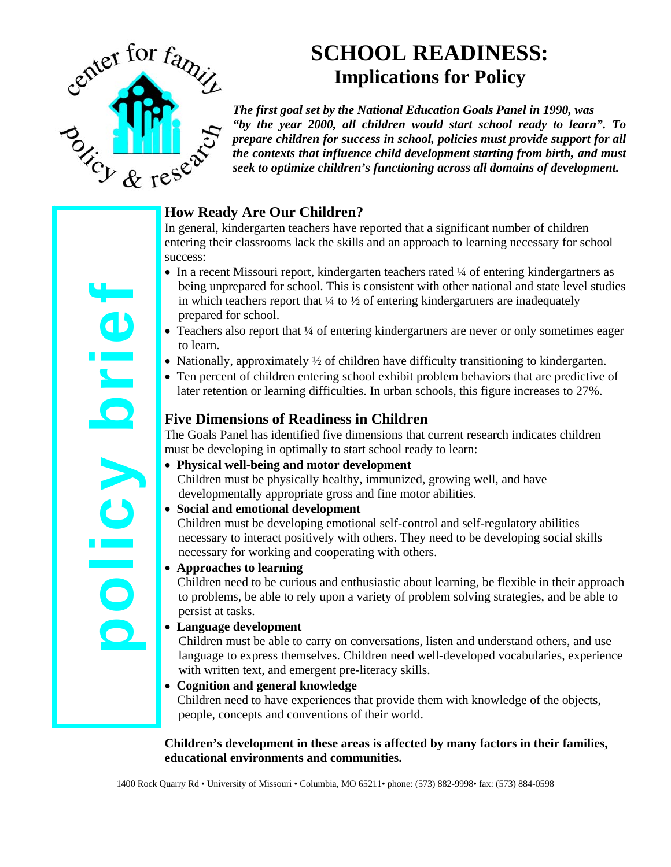

# **SCHOOL READINESS: Implications for Policy**

*The first goal set by the National Education Goals Panel in 1990, was "by the year 2000, all children would start school ready to learn". To prepare children for success in school, policies must provide support for all the contexts that influence child development starting from birth, and must seek to optimize children's functioning across all domains of development.*

# **How Ready Are Our Children?**

In general, kindergarten teachers have reported that a significant number of children entering their classrooms lack the skills and an approach to learning necessary for school success:

- In a recent Missouri report, kindergarten teachers rated ¼ of entering kindergartners as being unprepared for school. This is consistent with other national and state level studies in which teachers report that  $\frac{1}{4}$  to  $\frac{1}{2}$  of entering kindergartners are inadequately prepared for school.
- Teachers also report that <sup>1</sup>/4 of entering kindergartners are never or only sometimes eager to learn.
- Nationally, approximately  $\frac{1}{2}$  of children have difficulty transitioning to kindergarten.
- Ten percent of children entering school exhibit problem behaviors that are predictive of later retention or learning difficulties. In urban schools, this figure increases to 27%.

## **Five Dimensions of Readiness in Children**

The Goals Panel has identified five dimensions that current research indicates children must be developing in optimally to start school ready to learn:

- **Physical well-being and motor development**  Children must be physically healthy, immunized, growing well, and have developmentally appropriate gross and fine motor abilities.
- **Social and emotional development**

 Children must be developing emotional self-control and self-regulatory abilities necessary to interact positively with others. They need to be developing social skills necessary for working and cooperating with others.

• **Approaches to learning** 

 Children need to be curious and enthusiastic about learning, be flexible in their approach to problems, be able to rely upon a variety of problem solving strategies, and be able to persist at tasks.

• **Language development** 

Children must be able to carry on conversations, listen and understand others, and use language to express themselves. Children need well-developed vocabularies, experience with written text, and emergent pre-literacy skills.

• **Cognition and general knowledge**  Children need to have experiences that provide them with knowledge of the objects, people, concepts and conventions of their world.

#### **Children's development in these areas is affected by many factors in their families, educational environments and communities.**

policy brief  $\frac{1}{1}$